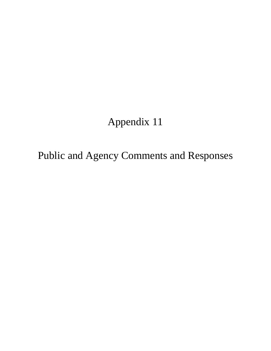# Appendix 11

Public and Agency Comments and Responses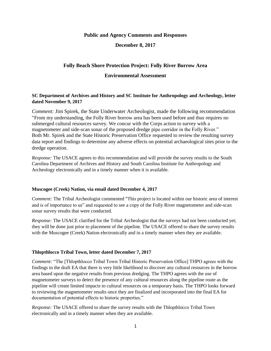**Public and Agency Comments and Responses**

**December 8, 2017**

# **Folly Beach Shore Protection Project: Folly River Borrow Area**

# **Environmental Assessment**

## **SC Department of Archives and History and SC Institute for Anthropology and Archeology, letter dated November 9, 2017**

*Comment:* Jim Spirek, the State Underwater Archeologist, made the following recommendation "From my understanding, the Folly River borrow area has been used before and thus requires no submerged cultural resources survey. We concur with the Corps action to survey with a magnetometer and side-scan sonar of the proposed dredge pipe corridor in the Folly River." Both Mr. Spirek and the State Historic Preservation Office requested to review the resulting survey data report and findings to determine any adverse effects on potential archaeological sites prior to the dredge operation.

*Response:* The USACE agrees to this recommendation and will provide the survey results to the South Carolina Department of Archives and History and South Carolina Institute for Anthropology and Archeology electronically and in a timely manner when it is available.

#### **Muscogee (Creek) Nation, via email dated December 4, 2017**

*Comment:* The Tribal Archeologist commented "This project is located within our historic area of interest and is of importance to us" and requested to see a copy of the Folly River magnetometer and side-scan sonar survey results that were conducted.

*Response:* The USACE clarified for the Tribal Archeologist that the surveys had not been conducted yet; they will be done just prior to placement of the pipeline. The USACE offered to share the survey results with the Muscogee (Creek) Nation electronically and in a timely manner when they are available.

#### **Thlopthlocco Tribal Town, letter dated December 7, 2017**

*Comment:* "The [Thlopthlocco Tribal Town Tribal Historic Preservation Office] THPO agrees with the findings in the draft EA that there is very little likelihood to discover any cultural resources in the borrow area based upon the negative results from previous dredging. The THPO agrees with the use of magnetometer surveys to detect the presence of any cultural resources along the pipeline route as the pipeline will create limited impacts to cultural resources on a temporary basis. The THPO looks forward to reviewing the magnetometer results once they are finalized and incorporated into the final EA for documentation of potential effects to historic properties."

*Response:* The USACE offered to share the survey results with the Thlopthlocco Tribal Town electronically and in a timely manner when they are available.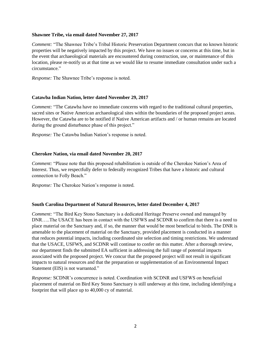## **Shawnee Tribe, via email dated November 27, 2017**

*Comment:* "The Shawnee Tribe's Tribal Historic Preservation Department concurs that no known historic properties will be negatively impacted by this project. We have no issues or concerns at this time, but in the event that archaeological materials are encountered during construction, use, or maintenance of this location, please re-notify us at that time as we would like to resume immediate consultation under such a circumstance."

*Response:* The Shawnee Tribe's response is noted.

## **Catawba Indian Nation, letter dated November 29, 2017**

*Comment:* "The Catawba have no immediate concerns with regard to the traditional cultural properties, sacred sites or Native American archaeological sites within the boundaries of the proposed project areas. However, the Catawba are to be notified if Native American artifacts and / or human remains are located during the ground disturbance phase of this project."

*Response:* The Catawba Indian Nation's response is noted.

## **Cherokee Nation, via email dated November 20, 2017**

*Comment:* "Please note that this proposed rehabilitation is outside of the Cherokee Nation's Area of Interest. Thus, we respectfully defer to federally recognized Tribes that have a historic and cultural connection to Folly Beach."

*Response:* The Cherokee Nation's response is noted.

#### **South Carolina Department of Natural Resources, letter dated December 4, 2017**

*Comment:* "The Bird Key Stono Sanctuary is a dedicated Heritage Preserve owned and managed by DNR…..The USACE has been in contact with the USFWS and SCDNR to confirm that there is a need to place material on the Sanctuary and, if so, the manner that would be most beneficial to birds. The DNR is amenable to the placement of material on the Sanctuary, provided placement is conducted in a manner that reduces potential impacts, including coordinated site selection and timing restrictions. We understand that the USACE, USFWS, and SCDNR will continue to confer on this matter. After a thorough review, our department finds the submitted EA sufficient in addressing the full range of potential impacts associated with the proposed project. We concur that the proposed project will not result in significant impacts to natural resources and that the preparation or supplementation of an Environmental Impact Statement (EIS) is not warranted."

*Response:* SCDNR's concurrence is noted. Coordination with SCDNR and USFWS on beneficial placement of material on Bird Key Stono Sanctuary is still underway at this time, including identifying a footprint that will place up to 40,000 cy of material.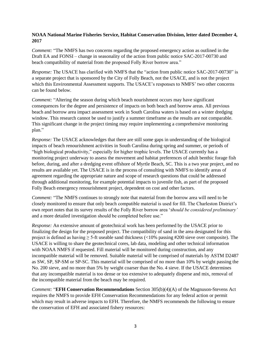# **NOAA National Marine Fisheries Service, Habitat Conservation Division, letter dated December 4, 2017**

*Comment:* "The NMFS has two concerns regarding the proposed emergency action as outlined in the Draft EA and FONSI – change in seasonality of the action from public notice SAC-2017-00730 and beach compatibility of material from the proposed Folly River borrow area."

*Response:* The USACE has clarified with NMFS that the "action from public notice SAC-2017-00730" is a separate project that is sponsored by the City of Folly Beach, not the USACE, and is not the project which this Environmental Assessment supports. The USACE's responses to NMFS' two other concerns can be found below.

*Comment:* "Altering the season during which beach nourishment occurs may have significant consequences for the degree and persistence of impacts on both beach and borrow areas. All previous beach and borrow area impact assessment work in South Carolina waters is based on a winter dredging window. This research cannot be used to justify a summer timeframe as the results are not comparable. This significant change in the project timing may require implementing a comprehensive monitoring plan."

*Response:* The USACE acknowledges that there are still some gaps in understanding of the biological impacts of beach renourishment activities in South Carolina during spring and summer, or periods of "high biological productivity," especially for higher trophic levels. The USACE currently has a monitoring project underway to assess the movement and habitat preferences of adult benthic forage fish before, during, and after a dredging event offshore of Myrtle Beach, SC. This is a two year project, and no results are available yet. The USACE is in the process of consulting with NMFS to identify areas of agreement regarding the appropriate nature and scope of research questions that could be addressed through additional monitoring, for example potential impacts to juvenile fish, as part of the proposed Folly Beach emergency renourishment project, dependent on cost and other factors.

*Comment:* "The NMFS continues to strongly note that material from the borrow area will need to be closely monitored to ensure that only beach compatible material is used for fill. The Charleston District's own report notes that its survey results of the Folly River borrow area '*should be considered preliminary'*  and a more detailed investigation should be completed before use."

*Response:* An extensive amount of geotechnical work has been performed by the USACE prior to finalizing the design for the proposed project. The compatibility of sand in the area designated for this project is defined as having  $\geq$  5-ft useable sand thickness ( $\lt$ 10% passing #200 sieve over composite). The USACE is willing to share the geotechnical cores, lab data, modeling and other technical information with NOAA NMFS if requested. Fill material will be monitored during construction, and any incompatible material will be removed. Suitable material will be comprised of materials by ASTM D2487 as SW, SP, SP-SM or SP-SC. This material will be comprised of no more than 10% by weight passing the No. 200 sieve, and no more than 5% by weight coarser than the No. 4 sieve. If the USACE determines that any incompatible material is too dense or too extensive to adequately disperse and mix, removal of the incompatible material from the beach may be required.

*Comment:* "**EFH Conservation Recommendations** Section 305(b)(4)(A) of the Magnuson-Stevens Act requires the NMFS to provide EFH Conservation Recommendations for any federal action or permit which may result in adverse impacts to EFH. Therefore, the NMFS recommends the following to ensure the conservation of EFH and associated fishery resources: